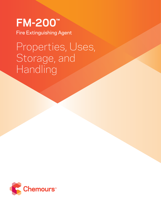**FM-200™** Fire Extinguishing Agent

# Properties, Uses, Storage, and Handling

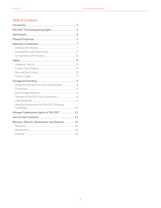# **Table of Contents**

| Shipping Information for the United States 9           |  |
|--------------------------------------------------------|--|
|                                                        |  |
|                                                        |  |
|                                                        |  |
|                                                        |  |
| Handling Precautions for FM-200 <sup>™</sup> Shipping  |  |
| Nitrogen Superpressurization of FM-200 <sup>™</sup> 12 |  |
|                                                        |  |
| Recovery, Recycle, Reclamation, and Disposal 16        |  |
|                                                        |  |
|                                                        |  |
|                                                        |  |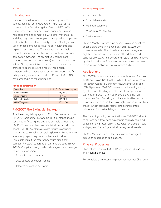# Introduction

Chemours has developed environmentally preferred agents, such as hydrofluorocarbon (HFC) 227ea, to protect critical facilities against fires, as HFCs offer unique properties. They are low in toxicity, nonflammable, non-corrosive, and compatible with other materials. In addition, they have thermodynamic and physical properties that make them ideal for a variety of uses. One high value use of these compounds is as fire extinguishants and explosion suppressants. They are used in hand-held portable extinguishers, total flooding systems, and local application systems. The bromofluorocarbons and bromochlorofluorocarbons (halons), which were developed in the 1930s, were linked to depletion of the earth's protective ozone layer. As a result, these halon compounds have been phased out of production, and fire extinguishing agents, such as HFC-227ea (FM-200™), have stepped in to take their place.

### **Product Information**

| <b>Chemical Name</b>       | 1,1,1,2,3,3,3-Heptafluoropropane |
|----------------------------|----------------------------------|
| Molecular Formula          | $CF_{3}CHFCF_{3}$                |
| Molecular Weight           | 170.03                           |
| <b>CAS Registry Number</b> | $431 - 89 - 0$                   |
| <b>ASHRAE Designation</b>  | HFC-227ea                        |

# FM-200™ Fire Extinguishing Agent

As a fire extinguishing agent, HFC-227ea is referred to as FM-200™, a trademark of Chemours. It is intended to be used in total flooding, inerting, and portable applications. FM-200™ is a safe, clean, and electrically nonconductive agent. FM-200™ systems are safe for use in occupied spaces and can reach extinguishing levels in 10 seconds or less, stopping ordinary combustible, electrical, and flammable liquid fires before they cause significant damage. FM-200™ suppression systems are used in over 100,000 applications globally and safeguard a wide range of facilities, including:

- Air traffic control centers
- Data centers and server rooms
- Telecommunication networks
- Electric utilities
- Financial networks
- Medical equipment
- Museums and libraries
- Marine vessels

FM-200™ waterless fire suppressant is a clean agent that doesn't leave any oily residues, particulates, water, or corrosive material. This virtually eliminates damage to high-tech equipment, artwork, and other delicate and sensitive objects. After discharge, FM-200™ can be removed by simple ventilation. This allows businesses in many cases to resume normal operations almost immediately.

# Applications

FM-200™ is listed as an acceptable replacement for Halon 1301 and Halon 1211 in the United States Environmental Protection Agency's Significant New Alternatives Policy (SNAP) program. FM-200™ is a suitable fire extinguishing agent for total flooding, portable, and local application systems. FM-200™ is non-corrosive, electrically nonconductive, free of residue, and characterized by low toxicity. It is ideally suited for protection of high-value assets such as those found in computer rooms, data control centers, telecommunication facilities, and museums.

The fire extinguishing concentrations of FM-200™ allow it to be used as a total flooding agent in normally occupied spaces for the protection of Class-A (solid), Class-B (liquid and gas), and Class-C (electrically energized) hazards.

FM-200™ is also suitable for use as an inertion agent in explosion suppression applications.

# Physical Properties

Physical properties of FM-200™ are given in Tables 1 to 3 and Figures 1 and 2.

For complete thermodynamic properties, contact Chemours.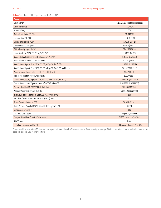**Table 1.** Physical Properties of FM-200™

| Property                                                                           |                                  |
|------------------------------------------------------------------------------------|----------------------------------|
| <b>Chemical Name</b>                                                               | 1,1,1,2,3,3,3-Heptafluoropropane |
| <b>Chemical Formula</b>                                                            | $CF_3CHFCF_3$                    |
| Molecular Weight                                                                   | 170.03                           |
| Boiling Point, 1 atm, °C (°F)                                                      | $-16.34(2.59)$                   |
| Freezing Point, °C (°F)                                                            | $-131(-204)$                     |
| Critical Temperature, °C (°F)                                                      | 101.75 (215.1)                   |
| Critical Pressure, kPa (psia)                                                      | 2925.0 (424.24)                  |
| Critical Density, kg/m <sup>3</sup> (lb/ft <sup>3</sup> )                          | 594.25 (37.098)                  |
| Liquid Density at 25 °C (77 °F), kg/m <sup>3</sup> (lb/ft <sup>3</sup> )           | 1387.7 (86.63)                   |
| Density, Saturated Vapor at Boiling Point, kg/m <sup>3</sup> (lb/ft <sup>3</sup> ) | 8.4860 (0.52979)                 |
| Vapor Density at 25 °C (77 °F) and 1 atm                                           | 7.1461 (0.4461)                  |
| Specific Heat, Liquid (cP) at 25 °C (77 °F), kJ/kg-°C (Btu/lb°F)                   | 1.1816 (0.28242)                 |
| Specific Heat, Vapor (cP) at 25 °C (77 °F), kJ/kg-°C (Btu/lb°F) and 1 atm          | 0.81327(0.81327)                 |
| Vapor Pressure, Saturated at 25 °C (77 °F), kPa (psia)                             | 454.73 (65.9)                    |
| Heat of Vaporization at BP, kJ/kg (Btu/lb)                                         | 131.77 (56.7)                    |
| Thermal Conductivity, Liquid at 25 °C (77 °F), W/m-°C (Btu/hr-ft°F)                | 0.060491 (0.034975)              |
| Thermal Conductivity, Vapor at 1 atm, W/m-°C (Btu/hr-ft°F)                         | 0.013336 (0.0077103)             |
| Viscosity, Liquid at 25 °C (77 °F), cP (lb/ft-hr)                                  | 0.23935(0.57901)                 |
| Viscosity, Vapor at 1 atm, cP (lb/ft-hr)                                           | 0.011590 (0.028038)              |
| Relative Dielectric Strength at 1 atm, 25 °C (77 °F) (N <sub>2</sub> =1)           | 2.00                             |
| Solubility of Water in FM-200™ at 20 °C (68 °F), ppm                               | 600                              |
| Ozone Depletion Potential, ODP                                                     | $0.0$ (CFC-11 = 1)               |
| Global Warming Potential, GWP (100 yr ITH. For CO <sub>2</sub> , GWP = 1)          | 3220                             |
| Atmospheric Lifetime, yr                                                           | 34.2                             |
| <b>TSCA Inventory Status</b>                                                       | Reported/Included                |
| <b>European List of New Chemical Substances</b>                                    | EINECS, Listed (207-079-2)       |
| <b>SNAP Status</b>                                                                 | Listed                           |
| Inhalation Exposure Limit (AEL*)                                                   | 1000 ppm 8- hr and 12-hr TWA     |

\*The acceptable exposure limit (AEL) is an airborne exposure limit established by Chemours that specifies time-weighted average (TWA) concentrations to which nearly all workers may be repeatedly exposed without adverse effects.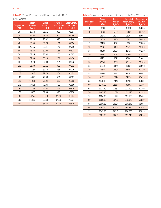### FM-200™ Fire Extinguishing Agent

# **Table 2.** Vapor Pressure and Density of FM-200™ (ENG Units)

| <b>Temperature</b><br>(PF) | Vapor<br><b>Pressure</b><br>(psia) | Liquid<br><b>Density</b><br>$(lbm/ft^3)$ | Saturated<br><b>Vapor Density</b><br>$(lbm/ft^3)$ | <b>Vapor Density</b><br>at 1 atm<br>$(lbm/ft^3)$ |
|----------------------------|------------------------------------|------------------------------------------|---------------------------------------------------|--------------------------------------------------|
| 10                         | 17.50                              | 95.51                                    | 0.63                                              | 0.5197                                           |
| 20                         | 21.93                              | 94.28                                    | 0.77                                              | 0.5069                                           |
| 30                         | 27.18                              | 93.02                                    | 0.95                                              | 0.4948                                           |
| 40                         | 33.35                              | 91.73                                    | 1.16                                              | 0.4834                                           |
| 50                         | 40.55                              | 90.41                                    | 1.40                                              | 0.4726                                           |
| 60                         | 48.88                              | 89.05                                    | 1.68                                              | 0.4624                                           |
| 70                         | 58.45                              | 87.64                                    | 2.00                                              | 0.4527                                           |
| 80                         | 69.38                              | 86.19                                    | 2.38                                              | 0.4434                                           |
| 90                         | 81.79                              | 84.68                                    | 2.81                                              | 0.4345                                           |
| 100                        | 95.80                              | 83.11                                    | 3.31                                              | 0.4261                                           |
| 110                        | 111.54                             | 81.46                                    | 3.88                                              | 0.4179                                           |
| 120                        | 129.15                             | 79.73                                    | 4.54                                              | 0.4102                                           |
| 130                        | 148.77                             | 77.90                                    | 5.30                                              | 0.4027                                           |
| 140                        | 170.55                             | 75.94                                    | 6.18                                              | 0.3955                                           |
| 150                        | 194.65                             | 73.84                                    | 7.22                                              | 0.3886                                           |
| 160                        | 221.26                             | 71.54                                    | 8.45                                              | 0.3820                                           |
| 170                        | 250.55                             | 69.00                                    | 9.93                                              | 0.3756                                           |
| 180                        | 282.77                             | 66.10                                    | 11.76                                             | 0.3694                                           |
| 190                        | 318.18                             | 62.68                                    | 14.10                                             | 0.3634                                           |
| 200                        | 357.11                             | 58.32                                    | 17.33                                             | 0.3576                                           |

| Table 3. Vapor Pressure and Density of FM-200™ (SI Units) |  |  |  |
|-----------------------------------------------------------|--|--|--|
|-----------------------------------------------------------|--|--|--|

| <b>Temperature</b><br>(C) | Vapor<br><b>Pressure</b><br>(kPa) | Liquid<br><b>Density</b><br>(kg/m <sup>3</sup> ) | <b>Saturated</b><br><b>Vapor Density</b><br>(kg/m <sup>3</sup> ) | <b>Vapor Density</b><br>at 1 atm<br>(kg/m <sup>3</sup> ) |
|---------------------------|-----------------------------------|--------------------------------------------------|------------------------------------------------------------------|----------------------------------------------------------|
| $-15$                     | 107.33                            | 1539.7                                           | 8.961                                                            | 8.4325                                                   |
| $-10$                     | 132.23                            | 1522.1                                           | 10.921                                                           | 8.2412                                                   |
| $-5$                      | 161.41                            | 1504.2                                           | 13.205                                                           | 8.0603                                                   |
| 0                         | 195.36                            | 1486.0                                           | 15.853                                                           | 7.8889                                                   |
| 5                         | 234.58                            | 1467.3                                           | 18.905                                                           | 7.7260                                                   |
| 10                        | 279.57                            | 1448.2                                           | 22.411                                                           | 7.5709                                                   |
| 15                        | 330.89                            | 1428.6                                           | 26.421                                                           | 7.4229                                                   |
| 20                        | 389.08                            | 1408.4                                           | 30.996                                                           | 7.2815                                                   |
| 25                        | 454.73                            | 1387.7                                           | 36.202                                                           | 7.1461                                                   |
| 30                        | 528.42                            | 1366.2                                           | 42.118                                                           | 7.0163                                                   |
| 35                        | 610.79                            | 1344.0                                           | 48.833                                                           | 6.8918                                                   |
| 40                        | 702.45                            | 1320.9                                           | 56.454                                                           | 6.7720                                                   |
| 45                        | 804.09                            | 1296.7                                           | 65.109                                                           | 6.6568                                                   |
| 50                        | 916.39                            | 1271.4                                           | 74.956                                                           | 6.5459                                                   |
| 55                        | 1040.10                           | 1244.8                                           | 86.189                                                           | 6.4389                                                   |
| 60                        | 1175.90                           | 1216.5                                           | 99.062                                                           | 6.3356                                                   |
| 65                        | 1324.70                           | 1186.2                                           | 113.900                                                          | 6.2359                                                   |
| 70                        | 1487.40                           | 1153.6                                           | 131.170                                                          | 6.1395                                                   |
| 75                        | 1664.90                           | 1117.9                                           | 151.500                                                          | 6.0462                                                   |
| 80                        | 1858.30                           | 1078.2                                           | 175.870                                                          | 5.9559                                                   |
| 85                        | 2068.80                           | 1032.8                                           | 205.840                                                          | 5.8684                                                   |
| 90                        | 2298.10                           | 978.6                                            | 244.310                                                          | 5.7836                                                   |
| 95                        | 2547.90                           | 907.8                                            | 298.000                                                          | 5.7013                                                   |
| 100                       | 2821.60                           | 786.8                                            | 397.240                                                          | 5.6215                                                   |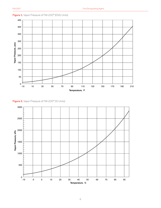

**Figure 1.** Vapor Pressure of FM-200™ (ENG Units)

**Figure 2.** Vapor Pressure of FM-200™ (SI Units)

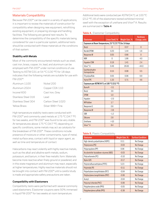# Materials Compatibility

Because FM-200™ can be used in a variety of applications, it is important to review the materials of construction for compatibility when designing new equipment, retrofitting existing equipment, or preparing storage and handling facilities. The following are general test results. To determine the compatibility of the specific materials being considered for use in a particular system, additional tests should be conducted with these materials at the conditions of that system.

### **Stability with Metals**

Most of the commonly encountered metals such as steel, cast iron, brass, copper, tin, lead, and aluminum can be employed with FM-200™ under normal conditions of use. Testing to ASTM G31 at 54 °C (130 °F) for 18 days indicates that the following metals are suitable for use with FM-200™:

| Aluminum 1100       | Nickel 200        |
|---------------------|-------------------|
| Aluminum 2024       | Copper CDA 110    |
| Inconel 600         | Cast Iron, Grey   |
| Stainless Steel 316 | Lead              |
| Stainless Steel 304 | Carbon Steel 1020 |
| Yellow Brass        | Silver 999+ Fine. |

High temperature stability tests were conducted with FM-200™ and commonly used metals at 175 °C (347 °F) for two weeks, and FM-200™ was found to be very stable. At temperatures above 175 °C (347 °F), depending on specific conditions, some metals may act as catalysts for the breakdown of FM-200™. These conditions include: presence of moisture or other contaminants, type of metal, metal surface area, contact with liquid or vapor agent, as well as time and temperature of contact.

Halocarbons may react violently with highly reactive metals, such as the alkali and alkaline earth metals, sodium, potassium, and barium, in their free metallic form. Materials become more reactive when finely ground or powdered, and in this state magnesium and aluminum may react, especially at higher temperatures. Highly reactive materials should not be brought into contact with FM-200™ until a careful study is made and appropriate safety precautions are taken.

### **Compatibility with Elastomers**

Compatibility tests were performed with several commonly used elastomers. Elastomer coupons were 50% immersed in liquid FM-200™ for two weeks at room temperature.

Additional tests were conducted per ASTM D471 at 100 °C (212 °F). All of the elastomers tested exhibited minimal swell with the exception of urethane and Viton™ A. Results are summarized in Table 4.

### **Table 4.**. Elastomer Compatibility

| <b>Elastomer</b>                                        | Linear Swell, % | Weight Gain, % | <b>Hardness</b><br>Change, units |  |  |
|---------------------------------------------------------|-----------------|----------------|----------------------------------|--|--|
| Exposure at Room Temperature, 23 °C (72 °F) for 14 days |                 |                |                                  |  |  |
| Butyl                                                   | $\overline{0}$  | 0.37           | $\overline{0}$                   |  |  |
| Nordel EPDM                                             | 0.20            | 1.44           | 1.6                              |  |  |
| Neoprene W                                              | 0.05            | 0.66           | $\Omega$                         |  |  |
| <b>NBR</b>                                              | 0               | 1.86           | 4.0                              |  |  |
| <b>Hypalon CSM</b>                                      | 0.19            | 1.41           | 2.4                              |  |  |
| Viton™ A                                                | 9.49            | 26.83          | $-44.0$                          |  |  |
| Epichlorohydrin<br>homopolymer                          | 0.15            | 0.08           | 5.5                              |  |  |
| FA polysulfide                                          | 0.05            | 0.06           | 6.9                              |  |  |
| <b>Hytrel TPE</b>                                       | 1.33            | 5.71           | 4.6                              |  |  |
| Exposure per ASTM D471 at 100 °C (212 °F)               |                 |                |                                  |  |  |
| <b>Buna N</b>                                           | $-3.1$          |                |                                  |  |  |
| Butyl                                                   | 3.6             |                |                                  |  |  |
| <b>EPDM</b>                                             | 1.0             |                |                                  |  |  |
| Hypalon                                                 | $-2.0$          |                |                                  |  |  |
| NR Rubber                                               | 1.7             |                |                                  |  |  |
| Neoprene G                                              | 0.8             |                |                                  |  |  |
| Neoprene W                                              | $-3.6$          |                |                                  |  |  |
| <b>SBR</b>                                              | $-1.2$          |                |                                  |  |  |
| Silicone                                                | 2.8             |                |                                  |  |  |
| Urethane                                                | >10             |                |                                  |  |  |
| Viton™ A                                                | 8.4             |                |                                  |  |  |

### **Table 5.** Plastic Compatibility

| <b>Elastomer</b>                      | Weight Gain, %  | <b>Surface Condition</b> |
|---------------------------------------|-----------------|--------------------------|
| High-density polyethylene (HDPE)      | 0 <sub>11</sub> | No Change                |
| Polystyrene (PS)                      | $-0.03$         | No Change                |
| Polypropylene (PP)                    | 0.06            | No Change                |
| Acrylonitrile-butadiene-styrene (ABS) | $-0.03$         | No Change                |
| Polycarbonate (PC)                    | $-0.10$         | No Change                |
| Nylon 6/6                             | $-0.17$         | No Change                |
| Polytetrafluoroethylene (PTFE)        | 5.23            | No Change                |
| Polyimide (PI)                        | $-0.11$         | No Change                |
| Polyethylene terephthalate (PET)      | $-0.04$         | No Change                |
| Polybutylene terephthalate (PBT)      | $-0.06$         | No Change                |
| Acetyl                                | $-0.04$         | No Change                |
| Polyvinyl chloride (PVC)              | $-0.06$         | No Change                |
| Polyphenylene oxide (PPO)             | $-0.05$         | No Change                |
| Polyphenylene sulfide (PPS)           | $-0.38$         | No Change                |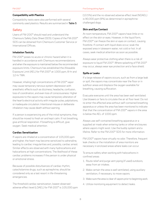### **Compatibility with Plastics**

Compatibility tests were also performed with several commonly used plastics. Results are summarized in Table 5.

# **Safety**

Users of FM-200™ should read and understand the Chemours Safety Data Sheet (SDS). Copies of the FM-200™ SDS can be obtained from Chemours Customer Service or International Offices.

### **Inhalation Toxicity**

FM-200™ poses no acute or chronic hazard when it is handled in accordance with Chemours recommendations and when the exposure is maintained below the recommended exposure limits. Chemours has established the Allowable Exposure Limit (AEL) for FM-200™ at 1000 ppm, 8-hr and 12-hr TWA.

However, inhaling high concentrations of FM-200™ vapor may cause temporary nervous system depression with anesthetic effects such as dizziness, headache, confusion, loss of coordination, and even loss of consciousness. Higher exposures to the vapors may cause temporary alteration of the heart's electrical activity with irregular pulse, palpitations, or inadequate circulation. Intentional misuse or deliberate inhalation may cause death without warning.

If a person is experiencing any of the initial symptoms, they should be moved to fresh air and kept calm. If not breathing, give artificial respiration. If breathing is difficult, give oxygen. Seek medical attention.

### **Cardiac Sensitization**

If vapors are inhaled at a concentration of 105,000 ppm and higher, the heart may become sensitized to adrenaline, leading to cardiac irregularities and, possibly, cardiac arrest. Similar effects are observed with many hydrocarbons and halocarbons at high concentrations. The likelihood of these cardiac problems increases if the person is under physical or emotional stress.

Because of possible disturbances of cardiac rhythm, catecholamine drugs, such as epinephrine, should be considered only as a last resort in life-threatening emergencies.

The threshold cardiac sensitization, lowest observed adverse effect level (LOAEL) for FM-200™ is 105,000 ppm (10.5%) and the no observed adverse effect level (NOAEL) is 90,000 ppm (9%) as determined in epinephrinechallenged dogs.

### **Skin and Eye Contact**

At room temperature, FM-200™ vapors have little or no effect on the skin or eyes. However, in the liquid form, FM-200™ can freeze the skin or eyes on contact, causing frostbite. If contact with liquid does occur, soak the exposed area in lukewarm water, not cold or hot. In all cases, seek medical attention as soon as possible.

Always wear protective clothing when there is a risk of exposure to liquid FM-200™. Where splashing of FM-200™ may occur, always wear eye protection and a face shield.

### **Spills or Leaks**

If a large release of vapors occurs, such as from a large leak or spill, the vapors may concentrate near the floor or in subfloor areas and displace the oxygen available for breathing, causing suffocation.

Evacuate everyone until the area has been well ventilated. Use blowers or fans to circulate the air at floor level. Do not re-enter the affected area without self-contained breathing apparatus or unless the area has been monitored to indicate that that the concentration of FM-200™ vapors in the area is below the AEL of 1000 ppm.

Always use self-contained breathing apparatus or a supplied air mask when entering tanks or other enclosures where vapors might exist. Use the buddy system and a lifeline. Refer to the FM-200™ SDS for more information.

FM-200™ vapors have virtually no odor. Therefore, frequent leak checks or the installation of area monitors are necessary in enclosed areas where leaks can occur.

To ensure safety when working with halocarbons in confined areas:

- 1. Route relief and purge vent piping (if used) outdoors, away from air intakes.
- 2. Make certain the area is well ventilated, using auxiliary ventilation, if necessary, to move vapors.
- 3. Make sure the area is clear of vapors prior to beginning work.
- 4. Utilize monitoring equipment to detect leaks.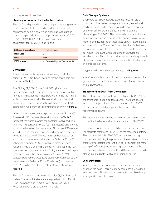# Storage and Handling

# **Shipping Information for the United States**

FM-200™ is a liquefied compressed gas. According to the U.S. Department of Transportation (DOT), a liquefied compressed gas is a gas, which when packaged under pressure is partially liquid at temperatures above –50 °C (–58 °F) (49CFR 173.115). The appropriate DOT designation for FM-200™ is as follows:

| <b>DOT Proper Shipping Name</b> | Heptafluoropropane                    |  |
|---------------------------------|---------------------------------------|--|
| <b>Hazard Class</b>             | っっ                                    |  |
| <b>UN Number</b>                | 3296                                  |  |
| DOT/IMO Labels                  | Nonflammable Liquefied Compressed Gas |  |

## **Containers**

Three types of containers are being used globally for shipping FM-200™. Specifications for the containers are provided in Table 6.

The 522 kg (1,150 lb) size FM-200™ cylinder is a freestanding, upright returnable cylinder equipped with a forklift lifting attachment incorporated into the foot ring or at the tope of the cylinder. These cylinders are fitted with Ceodeux or Superior brand valves designed for a CGA 660 connection. A diagram of this cylinder is shown in Figure 3.

ISO containers are used for export shipments of FM-200™. The overall ISO container dimensions shown in Table 6 represent the frame in which the container is shipped. The tank itself is approximately 19 feet (5.8 meters) long and has an outside diameter of approximately 86 inches (2.2 meters). Individual valves for liquid and vapor discharge are provided. Acme 1-3/4" x 1" MNPT valves (part number A2003) are employed for vapor removal and Acme 3-1/4" x 2" MNPT valves (part number A2063) for liquid removal. These valves fittings are on the ISO container; to unload the ISO container, couplings and adaptor fittings are required. Vapor removal requires the use of an Acme 1-3/4 x 1" MNPT adaptor (part number A1131F). Liquid removal requires the use of an Acme 3-1/4" x 2" MNPT adaptor (part number A1157F). A diagram of a typical ISO tank is shown in Figure 4.

FM-200™ is also shipped in 5,000 gallon (8,927 liter) tank trailers. These tank trailers are equipped with 1-1/4" mail Ever-Tite (vapor) and 2" male Ever-Tite valves (liquid). Required power is either 240 or 440 volt.

### **Bulk Storage Systems**

Chemours sells bulk storage systems to its FM-200™ customers. The systems are prefabricated, tested, and ready to install onsite. The units are designed to optimize economy, efficiency, and safety in the storage and dispensing of FM-200™. The delivered systems include all components, such as storage tanks, pumps, piping, valves, motors, and gauges, as an integrated unit. All systems are equipped with the Chemours Fluorochemical Emissions Elimination Delivery (FEED) System to prevent emissions during deliveries and with dual pumps to provide an installed spare. The units are skid-mounted and require only placement on a concrete pad and connection to electrical and process systems.

A typical bulk storage system is shown in Figure 5.

Your Chemours Marketing Representative can arrange for guidance on site selection, purchase, installation, startup, and maintenance.

# **Transfer of FM-200™ from Containers**

The preferred method for transfer of liquid FM-200™ from the cylinder is to use a suitable pump. There are several industrial pumps suitable for the transfer of FM-200™. Contact an industrial pump manufacturer for the recommended pump.

The receiving container should be evacuated to eliminate contamination by air and facilitate transfer of FM-200™.

If a pump is not available, the chilled transfer line method will facilitate transfer of FM-200™ to the receiving container. This method chills the FM-200™ as it passes through the transfer line, reducing the pressure in the receiver to induce transfer by pressure differential. A coil of compatible metal tubing of sufficient pressure rating is positioned in the transfer line between the supply and the receiver. The coil is placed in a cold bath, such as water ice or dry ice.

## **Leak Detection**

Whenever a system is assembled or serviced, it should be checked for leaks. There are many commercially available leak detectors. These devices are readily available through a refrigeration supply house.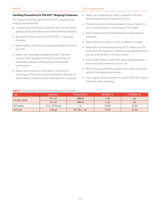### FM-200™ Fire Extinguishing Agent

### **Handling Precautions for FM-200™ Shipping Containers**

The following rules for handling FM-200™ containers are strongly recommended:

- Use personal protective equipment, such as side-shield glasses, gloves, and safety shoes, when handling containers.
- Avoid skin contact with liquid FM-200™; it can cause frostbite.
- Never heat a container to a temperature higher than 52 °C (125 °F).
- Never refill returnable cylinders without Chemours consent. DOT regulations forbid transportation of returnable cylinders refilled without Chemours's authorization.
- Never use a magnet or sling (rope or chain) to lift containers. Lifting may be accomplished by the use of a safe cradle or platform basket that holds the container.
- Never use containers as rollers, supports, or for any other purpose than to contain FM-200™.
- Protect containers from any objects that will result in a cut or other abrasion in the surface of the metal.
- Never tamper with the safety devices in the valves or container.
- Never attempt to repair or alter containers or valves.
- Never force connections that do not fit. Make sure the threads on the regulator or other auxiliary equipment are the same as those on the valve outlets.
- Keep valves tightly closed, with valve caps and hoods in place when the container is not in use.
- When storing containers outside, store under a roof and protect from weather extremes.
- Use a vapor recovery system to collect FM-200™ vapors from lines after unloading.

### **Table 6.** Specifications for FM-200™ Shipping Containers

| <b>Type</b>                 | <b>Dimensions</b>     | <b>DOT Specification</b> | Net Weight, Ib | Net Weight, kg |
|-----------------------------|-----------------------|--------------------------|----------------|----------------|
|                             | $30" \times 53"$      | 4BW260                   | 1,150          | 522            |
| 522 kg $(1,150 \text{ lb})$ | $30" \times 56"$      | 4BW240                   | 1,150          | 522            |
| <b>ISO Container</b>        | 8' x 8' x 20' (frame) | 51                       | 37.000         | 16,784         |
| <b>Tank Trailer</b>         | 5,000 gal             | MC-330 or -331           | 37,000         | 16,784         |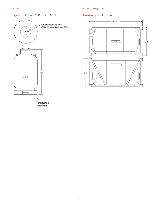# **Figure 3.** 522 kg (1,150 lb) Size Cylinder **Figure 4.** Typical ISO Tank





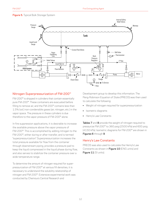### **Figure 5.** Typical Bulk Storage System



# Nitrogen Superpressurization of FM-200™

FM-200™ is shipped in cylinders that contain essentially pure FM-200™. These containers are evacuated before filling to remove air, and the FM-200™ contains less than 1.5% (vol.) non-condensible gases (air, nitrogen, etc.) in the vapor space. The pressure in these cylinders is due therefore to the vapor pressure of FM-200™ alone.

In fire suppression applications, it is desirable to increase the available pressure above the vapor pressure of FM-200™. This is accomplished by adding nitrogen to the FM-200™, either during or after transfer, and is termed "superpressurization". Superpressurization increases the total pressure available for flow from the container through downstream piping, provides a pressure pad to keep the liquid compressed in the liquid phase during flow, and also serves to stabilize the container pressure over a wide temperature range.

To determine the amount of nitrogen required for superpressurization of FM-200™ at various fill densities, it is necessary to understand the solubility relationship of nitrogen and FM-200™. Extensive experimental work was conducted by Chemours Central Research and

Development group to develop this information. The Peng-Robinson Equation of State (PREOS) was then used to calculate the following:

- Weight of nitrogen required for superpressurization
- Isometric diagrams
- Henry's Law Constants

Tables 7 and 8 provide the weight of nitrogen required to pressurize FM-200™ to 360 psig (2500 kPa) and 600 psig (4150 kPa). Isometric diagrams for FM-200™ are shown in Figures 6 through 9.

# Henry's Law Constants

PREOS was also used to calculate the Henry's Law Constants as shown in Figure 10 (ENG units) and **Figure 11 (SI units).**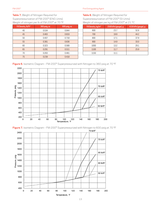FM-200™ Fire Extinguishing Agent

**Table 7.** Weight of Nitrogen Required for Superpressurization of FM-200™ (ENG Units) Weight of nitrogen per lb of FM-200™ at 70 °F

| Fill Density, lb/ft <sup>3</sup> | 360 psig, oz | 600 psig, oz |
|----------------------------------|--------------|--------------|
| 40                               | 0.534        | 0.944        |
| 45                               | 0.463        | 0.819        |
| 50                               | 0.407        | 0.718        |
| 55                               | 0.361        | 0.636        |
| 60                               | 0.323        | 0.568        |
| 65                               | 0.291        | 0.511        |
| 70                               | 0.263        | 0.461        |
| 75                               | 0.239        | 0.418        |

**Table 8.** Weight of Nitrogen Required for Superpressurization of FM-200™ (SI Units) Weight of nitrogen per kg of FM-200™ at 21 °C

| Fill Density, kg/m <sup>3</sup> | 2500 kPa (gauge), g | 4150 kPa (gauge), g |
|---------------------------------|---------------------|---------------------|
| 600                             | 23.7                | 52.6                |
| 700                             | 19.9                | 44.2                |
| 800                             | 17.1                | 37.9                |
| 900                             | 14.9                | 33.0                |
| 1000                            | 13.2                | 29.1                |
| 1100                            | 11.7                | 25.9                |
| 1150                            | 11.1                |                     |

**Figure 6.** Isometric Diagram – FM-200™ Superpressurized with Nitrogen to 360 psig at 70 °F





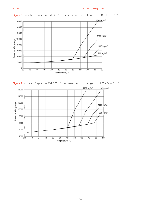

**Figure 8.** Isometric Diagram for FM-200™ Superpressurized with Nitrogen to 2500 kPa at 21 °C



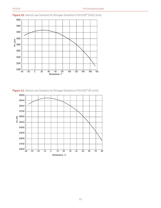

**Figure 10.** Henry's Law Constant for Nitrogen Solubility in FM-200™ (ENG Units)

**Figure 11.** Henry's Law Constant for Nitrogen Solubility in FM-200™ (SI Units)